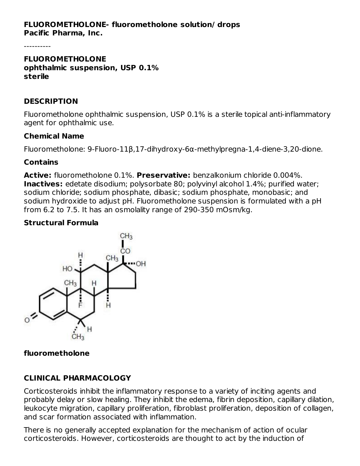#### **FLUOROMETHOLONE- fluorometholone solution/ drops Pacific Pharma, Inc.**

----------

#### **FLUOROMETHOLONE ophthalmic suspension, USP 0.1% sterile**

#### **DESCRIPTION**

Fluorometholone ophthalmic suspension, USP 0.1% is a sterile topical anti-inflammatory agent for ophthalmic use.

#### **Chemical Name**

Fluorometholone: 9-Fluoro-11β,17-dihydroxy-6α-methylpregna-1,4-diene-3,20-dione.

#### **Contains**

**Active:** fluorometholone 0.1%. **Preservative:** benzalkonium chloride 0.004%. **Inactives:** edetate disodium; polysorbate 80; polyvinyl alcohol 1.4%; purified water; sodium chloride; sodium phosphate, dibasic; sodium phosphate, monobasic; and sodium hydroxide to adjust pH. Fluorometholone suspension is formulated with a pH from 6.2 to 7.5. It has an osmolality range of 290-350 mOsm/kg.

#### **Structural Formula**



#### **fluorometholone**

## **CLINICAL PHARMACOLOGY**

Corticosteroids inhibit the inflammatory response to a variety of inciting agents and probably delay or slow healing. They inhibit the edema, fibrin deposition, capillary dilation, leukocyte migration, capillary proliferation, fibroblast proliferation, deposition of collagen, and scar formation associated with inflammation.

There is no generally accepted explanation for the mechanism of action of ocular corticosteroids. However, corticosteroids are thought to act by the induction of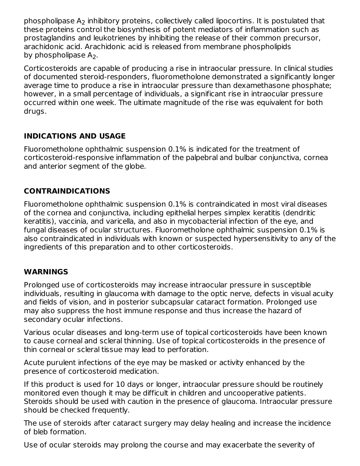phospholipase  $\mathsf{A}_2$  inhibitory proteins, collectively called lipocortins. It is postulated that these proteins control the biosynthesis of potent mediators of inflammation such as prostaglandins and leukotrienes by inhibiting the release of their common precursor, arachidonic acid. Arachidonic acid is released from membrane phospholipids by phospholipase  $A_2$ .

Corticosteroids are capable of producing a rise in intraocular pressure. In clinical studies of documented steroid-responders, fluorometholone demonstrated a significantly longer average time to produce a rise in intraocular pressure than dexamethasone phosphate; however, in a small percentage of individuals, a significant rise in intraocular pressure occurred within one week. The ultimate magnitude of the rise was equivalent for both drugs.

## **INDICATIONS AND USAGE**

Fluorometholone ophthalmic suspension 0.1% is indicated for the treatment of corticosteroid-responsive inflammation of the palpebral and bulbar conjunctiva, cornea and anterior segment of the globe.

## **CONTRAINDICATIONS**

Fluorometholone ophthalmic suspension 0.1% is contraindicated in most viral diseases of the cornea and conjunctiva, including epithelial herpes simplex keratitis (dendritic keratitis), vaccinia, and varicella, and also in mycobacterial infection of the eye, and fungal diseases of ocular structures. Fluorometholone ophthalmic suspension 0.1% is also contraindicated in individuals with known or suspected hypersensitivity to any of the ingredients of this preparation and to other corticosteroids.

## **WARNINGS**

Prolonged use of corticosteroids may increase intraocular pressure in susceptible individuals, resulting in glaucoma with damage to the optic nerve, defects in visual acuity and fields of vision, and in posterior subcapsular cataract formation. Prolonged use may also suppress the host immune response and thus increase the hazard of secondary ocular infections.

Various ocular diseases and long-term use of topical corticosteroids have been known to cause corneal and scleral thinning. Use of topical corticosteroids in the presence of thin corneal or scleral tissue may lead to perforation.

Acute purulent infections of the eye may be masked or activity enhanced by the presence of corticosteroid medication.

If this product is used for 10 days or longer, intraocular pressure should be routinely monitored even though it may be difficult in children and uncooperative patients. Steroids should be used with caution in the presence of glaucoma. Intraocular pressure should be checked frequently.

The use of steroids after cataract surgery may delay healing and increase the incidence of bleb formation.

Use of ocular steroids may prolong the course and may exacerbate the severity of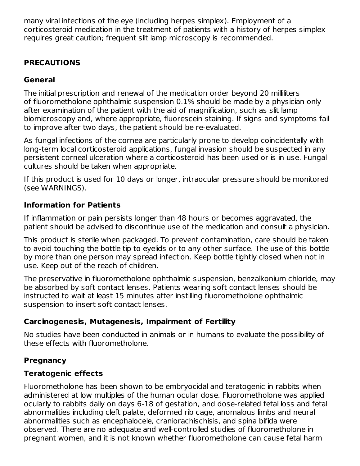many viral infections of the eye (including herpes simplex). Employment of a corticosteroid medication in the treatment of patients with a history of herpes simplex requires great caution; frequent slit lamp microscopy is recommended.

## **PRECAUTIONS**

## **General**

The initial prescription and renewal of the medication order beyond 20 milliliters of fluorometholone ophthalmic suspension 0.1% should be made by a physician only after examination of the patient with the aid of magnification, such as slit lamp biomicroscopy and, where appropriate, fluorescein staining. If signs and symptoms fail to improve after two days, the patient should be re-evaluated.

As fungal infections of the cornea are particularly prone to develop coincidentally with long-term local corticosteroid applications, fungal invasion should be suspected in any persistent corneal ulceration where a corticosteroid has been used or is in use. Fungal cultures should be taken when appropriate.

If this product is used for 10 days or longer, intraocular pressure should be monitored (see WARNINGS).

## **Information for Patients**

If inflammation or pain persists longer than 48 hours or becomes aggravated, the patient should be advised to discontinue use of the medication and consult a physician.

This product is sterile when packaged. To prevent contamination, care should be taken to avoid touching the bottle tip to eyelids or to any other surface. The use of this bottle by more than one person may spread infection. Keep bottle tightly closed when not in use. Keep out of the reach of children.

The preservative in fluorometholone ophthalmic suspension, benzalkonium chloride, may be absorbed by soft contact lenses. Patients wearing soft contact lenses should be instructed to wait at least 15 minutes after instilling fluorometholone ophthalmic suspension to insert soft contact lenses.

# **Carcinogenesis, Mutagenesis, Impairment of Fertility**

No studies have been conducted in animals or in humans to evaluate the possibility of these effects with fluorometholone.

# **Pregnancy**

# **Teratogenic effects**

Fluorometholone has been shown to be embryocidal and teratogenic in rabbits when administered at low multiples of the human ocular dose. Fluorometholone was applied ocularly to rabbits daily on days 6-18 of gestation, and dose-related fetal loss and fetal abnormalities including cleft palate, deformed rib cage, anomalous limbs and neural abnormalities such as encephalocele, craniorachischisis, and spina bifida were observed. There are no adequate and well-controlled studies of fluorometholone in pregnant women, and it is not known whether fluorometholone can cause fetal harm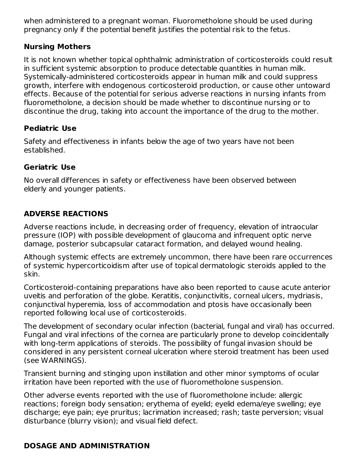when administered to a pregnant woman. Fluorometholone should be used during pregnancy only if the potential benefit justifies the potential risk to the fetus.

### **Nursing Mothers**

It is not known whether topical ophthalmic administration of corticosteroids could result in sufficient systemic absorption to produce detectable quantities in human milk. Systemically-administered corticosteroids appear in human milk and could suppress growth, interfere with endogenous corticosteroid production, or cause other untoward effects. Because of the potential for serious adverse reactions in nursing infants from fluorometholone, a decision should be made whether to discontinue nursing or to discontinue the drug, taking into account the importance of the drug to the mother.

## **Pediatric Use**

Safety and effectiveness in infants below the age of two years have not been established.

## **Geriatric Use**

No overall differences in safety or effectiveness have been observed between elderly and younger patients.

# **ADVERSE REACTIONS**

Adverse reactions include, in decreasing order of frequency, elevation of intraocular pressure (IOP) with possible development of glaucoma and infrequent optic nerve damage, posterior subcapsular cataract formation, and delayed wound healing.

Although systemic effects are extremely uncommon, there have been rare occurrences of systemic hypercorticoidism after use of topical dermatologic steroids applied to the skin.

Corticosteroid-containing preparations have also been reported to cause acute anterior uveitis and perforation of the globe. Keratitis, conjunctivitis, corneal ulcers, mydriasis, conjunctival hyperemia, loss of accommodation and ptosis have occasionally been reported following local use of corticosteroids.

The development of secondary ocular infection (bacterial, fungal and viral) has occurred. Fungal and viral infections of the cornea are particularly prone to develop coincidentally with long-term applications of steroids. The possibility of fungal invasion should be considered in any persistent corneal ulceration where steroid treatment has been used (see WARNINGS).

Transient burning and stinging upon instillation and other minor symptoms of ocular irritation have been reported with the use of fluorometholone suspension.

Other adverse events reported with the use of fluorometholone include: allergic reactions; foreign body sensation; erythema of eyelid; eyelid edema/eye swelling; eye discharge; eye pain; eye pruritus; lacrimation increased; rash; taste perversion; visual disturbance (blurry vision); and visual field defect.

# **DOSAGE AND ADMINISTRATION**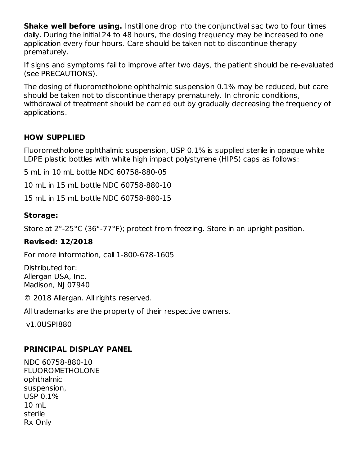**Shake well before using.** Instill one drop into the conjunctival sac two to four times daily. During the initial 24 to 48 hours, the dosing frequency may be increased to one application every four hours. Care should be taken not to discontinue therapy prematurely.

If signs and symptoms fail to improve after two days, the patient should be re-evaluated (see PRECAUTIONS).

The dosing of fluorometholone ophthalmic suspension 0.1% may be reduced, but care should be taken not to discontinue therapy prematurely. In chronic conditions, withdrawal of treatment should be carried out by gradually decreasing the frequency of applications.

## **HOW SUPPLIED**

Fluorometholone ophthalmic suspension, USP 0.1% is supplied sterile in opaque white LDPE plastic bottles with white high impact polystyrene (HIPS) caps as follows:

5 mL in 10 mL bottle NDC 60758-880-05

10 mL in 15 mL bottle NDC 60758-880-10

15 mL in 15 mL bottle NDC 60758-880-15

### **Storage:**

Store at 2°-25°C (36°-77°F); protect from freezing. Store in an upright position.

#### **Revised: 12/2018**

For more information, call 1-800-678-1605

Distributed for: Allergan USA, Inc. Madison, NJ 07940

© 2018 Allergan. All rights reserved.

All trademarks are the property of their respective owners.

v1.0USPI880

## **PRINCIPAL DISPLAY PANEL**

NDC 60758-880-10 FLUOROMETHOLONE ophthalmic suspension, USP 0.1% 10 mL sterile Rx Only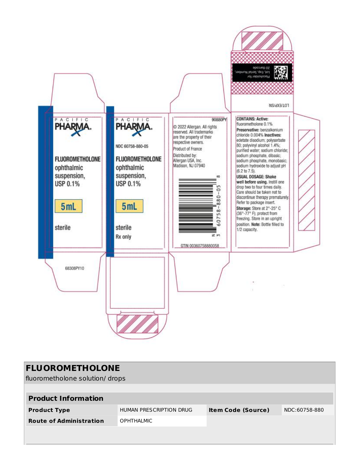

| <b>FLUOROMETHOLONE</b><br>fluorometholone solution/ drops |                         |                           |               |  |  |
|-----------------------------------------------------------|-------------------------|---------------------------|---------------|--|--|
| <b>Product Information</b>                                |                         |                           |               |  |  |
| <b>Product Type</b>                                       | HUMAN PRESCRIPTION DRUG | <b>Item Code (Source)</b> | NDC:60758-880 |  |  |
| <b>Route of Administration</b>                            | <b>OPHTHALMIC</b>       |                           |               |  |  |
|                                                           |                         |                           |               |  |  |